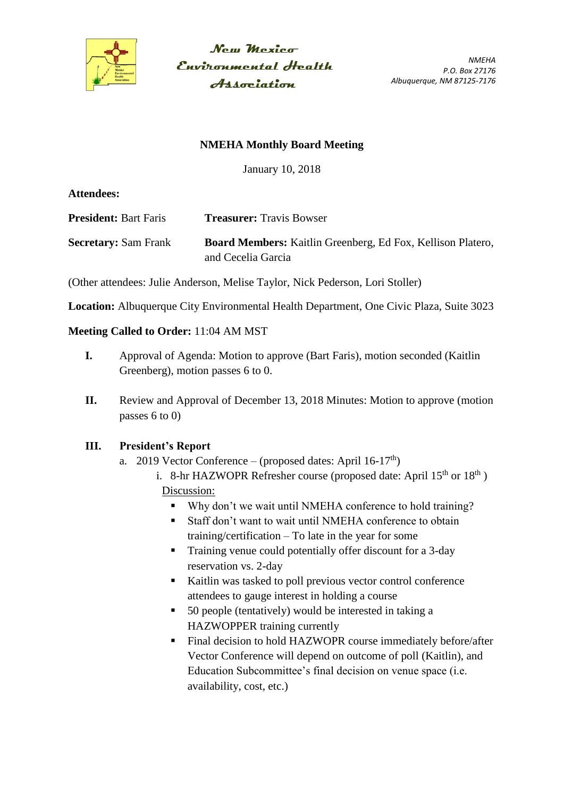

New Mexico Environmental Health **Association** 

*NMEHA P.O. Box 27176 Albuquerque, NM 87125-7176*

#### **NMEHA Monthly Board Meeting**

January 10, 2018

**Attendees:**

**President:** Bart Faris **Treasurer:** Travis Bowser

**Secretary:** Sam Frank **Board Members:** Kaitlin Greenberg, Ed Fox, Kellison Platero, and Cecelia Garcia

(Other attendees: Julie Anderson, Melise Taylor, Nick Pederson, Lori Stoller)

**Location:** Albuquerque City Environmental Health Department, One Civic Plaza, Suite 3023

#### **Meeting Called to Order:** 11:04 AM MST

- **I.** Approval of Agenda: Motion to approve (Bart Faris), motion seconded (Kaitlin Greenberg), motion passes 6 to 0.
- **II.** Review and Approval of December 13, 2018 Minutes: Motion to approve (motion passes 6 to 0)

#### **III. President's Report**

- a. 2019 Vector Conference (proposed dates: April 16-17<sup>th</sup>)
	- i. 8-hr HAZWOPR Refresher course (proposed date: April  $15<sup>th</sup>$  or  $18<sup>th</sup>$ ) Discussion:
		- Why don't we wait until NMEHA conference to hold training?
		- Staff don't want to wait until NMEHA conference to obtain training/certification – To late in the year for some
		- Training venue could potentially offer discount for a 3-day reservation vs. 2-day
		- Kaitlin was tasked to poll previous vector control conference attendees to gauge interest in holding a course
		- 50 people (tentatively) would be interested in taking a HAZWOPPER training currently
		- Final decision to hold HAZWOPR course immediately before/after Vector Conference will depend on outcome of poll (Kaitlin), and Education Subcommittee's final decision on venue space (i.e. availability, cost, etc.)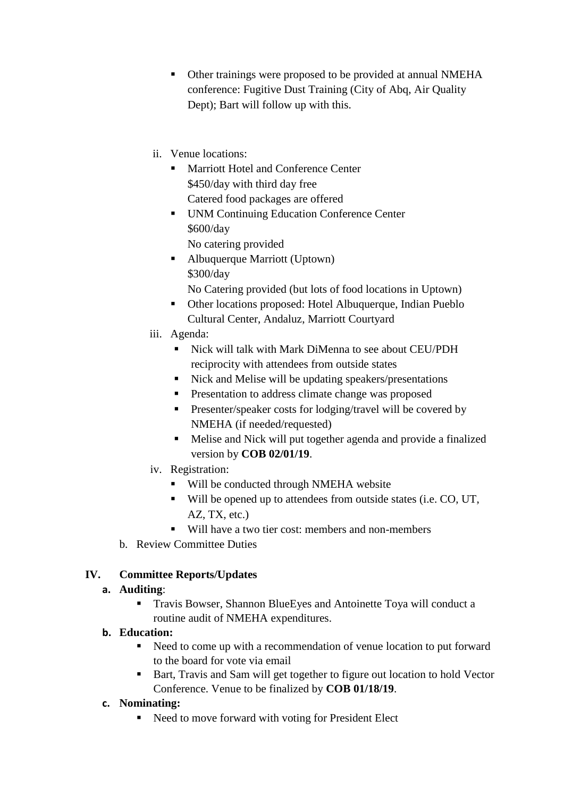- Other trainings were proposed to be provided at annual NMEHA conference: Fugitive Dust Training (City of Abq, Air Quality Dept); Bart will follow up with this.
- ii. Venue locations:
	- **Marriott Hotel and Conference Center** \$450/day with third day free Catered food packages are offered
	- UNM Continuing Education Conference Center \$600/day
		- No catering provided
	- Albuquerque Marriott (Uptown) \$300/day
		- No Catering provided (but lots of food locations in Uptown)
	- Other locations proposed: Hotel Albuquerque, Indian Pueblo Cultural Center, Andaluz, Marriott Courtyard
- iii. Agenda:
	- Nick will talk with Mark DiMenna to see about CEU/PDH reciprocity with attendees from outside states
	- Nick and Melise will be updating speakers/presentations
	- **Presentation to address climate change was proposed**
	- **Presenter/speaker costs for lodging/travel will be covered by** NMEHA (if needed/requested)
	- Melise and Nick will put together agenda and provide a finalized version by **COB 02/01/19**.
- iv. Registration:
	- Will be conducted through NMEHA website
	- Will be opened up to attendees from outside states (i.e. CO, UT, AZ, TX, etc.)
	- Will have a two tier cost: members and non-members
- b. Review Committee Duties

## **IV. Committee Reports/Updates**

## **a. Auditing**:

 Travis Bowser, Shannon BlueEyes and Antoinette Toya will conduct a routine audit of NMEHA expenditures.

## **b. Education:**

- Need to come up with a recommendation of venue location to put forward to the board for vote via email
- Bart, Travis and Sam will get together to figure out location to hold Vector Conference. Venue to be finalized by **COB 01/18/19**.

## **c. Nominating:**

Need to move forward with voting for President Elect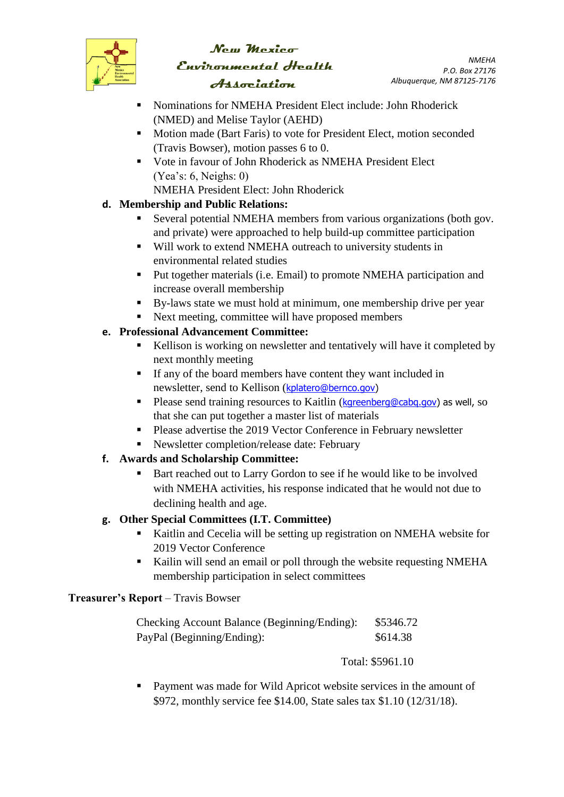

# New Mexico Environmental Health Association

*NMEHA P.O. Box 27176 Albuquerque, NM 87125-7176*

- Nominations for NMEHA President Elect include: John Rhoderick (NMED) and Melise Taylor (AEHD)
- **Motion made (Bart Faris) to vote for President Elect, motion seconded** (Travis Bowser), motion passes 6 to 0.
- Vote in favour of John Rhoderick as NMEHA President Elect (Yea's: 6, Neighs: 0)
	- NMEHA President Elect: John Rhoderick

# **d. Membership and Public Relations:**

- Several potential NMEHA members from various organizations (both gov. and private) were approached to help build-up committee participation
- Will work to extend NMEHA outreach to university students in environmental related studies
- Put together materials (i.e. Email) to promote NMEHA participation and increase overall membership
- By-laws state we must hold at minimum, one membership drive per year
- Next meeting, committee will have proposed members

# **e. Professional Advancement Committee:**

- Kellison is working on newsletter and tentatively will have it completed by next monthly meeting
- If any of the board members have content they want included in newsletter, send to Kellison ([kplatero@bernco.gov\)](mailto:kplatero@bernco.gov)
- **Please send training resources to Kaitlin (kgreenberg@cabg.gov) as well, so** that she can put together a master list of materials
- Please advertise the 2019 Vector Conference in February newsletter
- Newsletter completion/release date: February
- **f. Awards and Scholarship Committee:**
	- Bart reached out to Larry Gordon to see if he would like to be involved with NMEHA activities, his response indicated that he would not due to declining health and age.

# **g. Other Special Committees (I.T. Committee)**

- Kaitlin and Cecelia will be setting up registration on NMEHA website for 2019 Vector Conference
- Kailin will send an email or poll through the website requesting NMEHA membership participation in select committees

## **Treasurer's Report** – Travis Bowser

| Checking Account Balance (Beginning/Ending): | \$5346.72 |
|----------------------------------------------|-----------|
| PayPal (Beginning/Ending):                   | \$614.38  |

Total: \$5961.10

 Payment was made for Wild Apricot website services in the amount of \$972, monthly service fee \$14.00, State sales tax \$1.10 (12/31/18).